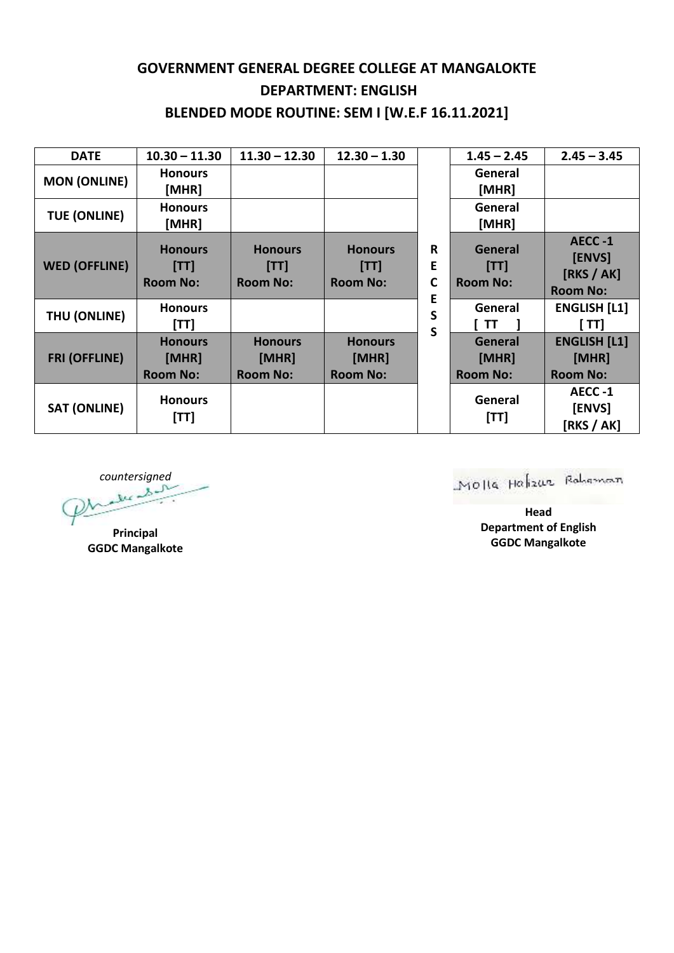## **GOVERNMENT GENERAL DEGREE COLLEGE AT MANGALOKTE DEPARTMENT: ENGLISH BLENDED MODE ROUTINE: SEM I [W.E.F 16.11.2021]**

| <b>DATE</b>          | $10.30 - 11.30$                            | $11.30 - 12.30$                            | $12.30 - 1.30$                             | R<br>E<br>C<br>E<br>S<br>S | $1.45 - 2.45$                       | $2.45 - 3.45$                                     |
|----------------------|--------------------------------------------|--------------------------------------------|--------------------------------------------|----------------------------|-------------------------------------|---------------------------------------------------|
| <b>MON (ONLINE)</b>  | <b>Honours</b><br>[MHR]                    |                                            |                                            |                            | General<br>[MHR]                    |                                                   |
| <b>TUE (ONLINE)</b>  | <b>Honours</b><br>[MHR]                    |                                            |                                            |                            | General<br>[MHR]                    |                                                   |
| <b>WED (OFFLINE)</b> | <b>Honours</b><br>[T]<br><b>Room No:</b>   | <b>Honours</b><br>[T1]<br><b>Room No:</b>  | <b>Honours</b><br>[T]<br><b>Room No:</b>   |                            | General<br>[TT]<br><b>Room No:</b>  | AECC-1<br>[ENVS]<br>[RKS / AK]<br><b>Room No:</b> |
| THU (ONLINE)         | <b>Honours</b><br>[TT]                     |                                            |                                            |                            | General<br>TT                       | <b>ENGLISH [L1]</b><br>ן דדן                      |
| <b>FRI (OFFLINE)</b> | <b>Honours</b><br>[MHR]<br><b>Room No:</b> | <b>Honours</b><br>[MHR]<br><b>Room No:</b> | <b>Honours</b><br>[MHR]<br><b>Room No:</b> |                            | General<br>[MHR]<br><b>Room No:</b> | <b>ENGLISH [L1]</b><br>[MHR]<br><b>Room No:</b>   |
| <b>SAT (ONLINE)</b>  | <b>Honours</b><br>[TT]                     |                                            |                                            |                            | General<br>[TT]                     | AECC-1<br>[ENVS]<br>[RKS / AK]                    |

*countersigned*

**Principal GGDC Mangalkote**

Molla Halizar Rohaman

**Head Department of English GGDC Mangalkote**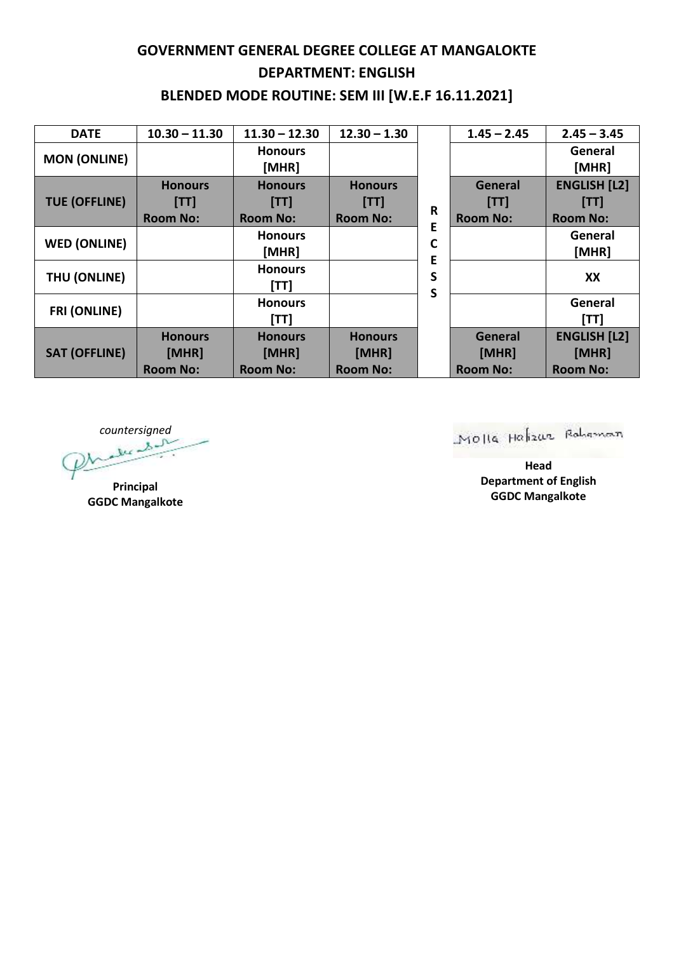## **GOVERNMENT GENERAL DEGREE COLLEGE AT MANGALOKTE DEPARTMENT: ENGLISH BLENDED MODE ROUTINE: SEM III [W.E.F 16.11.2021]**

| <b>DATE</b>          | $10.30 - 11.30$ | $11.30 - 12.30$         | $12.30 - 1.30$  |             | $1.45 - 2.45$   | $2.45 - 3.45$       |
|----------------------|-----------------|-------------------------|-----------------|-------------|-----------------|---------------------|
| <b>MON (ONLINE)</b>  |                 | <b>Honours</b><br>[MHR] |                 | R<br>Е      |                 | General<br>[MHR]    |
| <b>TUE (OFFLINE)</b> | <b>Honours</b>  | <b>Honours</b>          | <b>Honours</b>  |             | <b>General</b>  | <b>ENGLISH [L2]</b> |
|                      | [TT]            | [TT]                    | [TT]            |             | [TT]            | [TT]                |
|                      | <b>Room No:</b> | <b>Room No:</b>         | <b>Room No:</b> |             | <b>Room No:</b> | <b>Room No:</b>     |
| <b>WED (ONLINE)</b>  |                 | <b>Honours</b>          |                 | C           |                 | General             |
|                      |                 | [MHR]                   |                 | Е<br>S<br>S |                 | [MHR]               |
| THU (ONLINE)         |                 | <b>Honours</b>          |                 |             |                 | XX                  |
|                      |                 | [TT]                    |                 |             |                 |                     |
| <b>FRI (ONLINE)</b>  |                 | <b>Honours</b>          |                 |             |                 | General             |
|                      |                 | [TT]                    |                 |             |                 | [TT]                |
| <b>SAT (OFFLINE)</b> | <b>Honours</b>  | <b>Honours</b>          | <b>Honours</b>  |             | <b>General</b>  | <b>ENGLISH [L2]</b> |
|                      | [MHR]           | [MHR]                   | [MHR]           |             | [MHR]           | [MHR]               |
|                      | <b>Room No:</b> | <b>Room No:</b>         | <b>Room No:</b> |             | <b>Room No:</b> | <b>Room No:</b>     |

*countersigned*

**Principal GGDC Mangalkote** Molla Halizar Robeman

**Head Department of English GGDC Mangalkote**